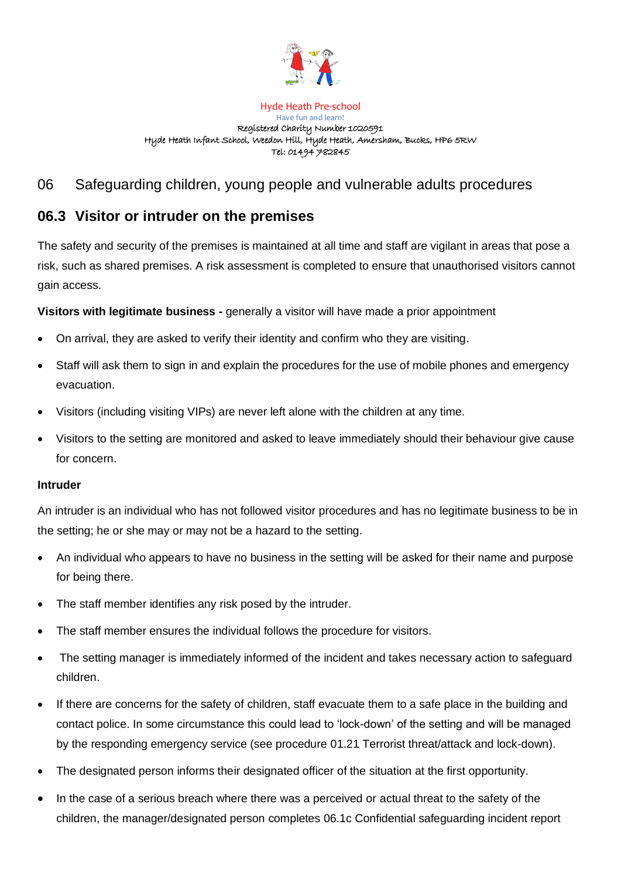

## Hyde Heath Pre-school Have fun and learn! Registered Charity Number 1020591 Hyde Heath Infant School, Weedon Hill, Hyde Heath, Amersham, Bucks, HP6 5RW Tel: 01494 782845

## 06 Safeguarding children, young people and vulnerable adults procedures

## **06.3 Visitor or intruder on the premises**

The safety and security of the premises is maintained at all time and staff are vigilant in areas that pose a risk, such as shared premises. A risk assessment is completed to ensure that unauthorised visitors cannot gain access.

**Visitors with legitimate business -** generally a visitor will have made a prior appointment

- On arrival, they are asked to verify their identity and confirm who they are visiting.
- Staff will ask them to sign in and explain the procedures for the use of mobile phones and emergency evacuation.
- Visitors (including visiting VIPs) are never left alone with the children at any time.
- Visitors to the setting are monitored and asked to leave immediately should their behaviour give cause for concern.

## **Intruder**

An intruder is an individual who has not followed visitor procedures and has no legitimate business to be in the setting; he or she may or may not be a hazard to the setting.

- An individual who appears to have no business in the setting will be asked for their name and purpose for being there.
- The staff member identifies any risk posed by the intruder.
- The staff member ensures the individual follows the procedure for visitors.
- The setting manager is immediately informed of the incident and takes necessary action to safeguard children.
- If there are concerns for the safety of children, staff evacuate them to a safe place in the building and contact police. In some circumstance this could lead to 'lock-down' of the setting and will be managed by the responding emergency service (see procedure 01.21 Terrorist threat/attack and lock-down).
- The designated person informs their designated officer of the situation at the first opportunity.
- In the case of a serious breach where there was a perceived or actual threat to the safety of the children, the manager/designated person completes 06.1c Confidential safeguarding incident report